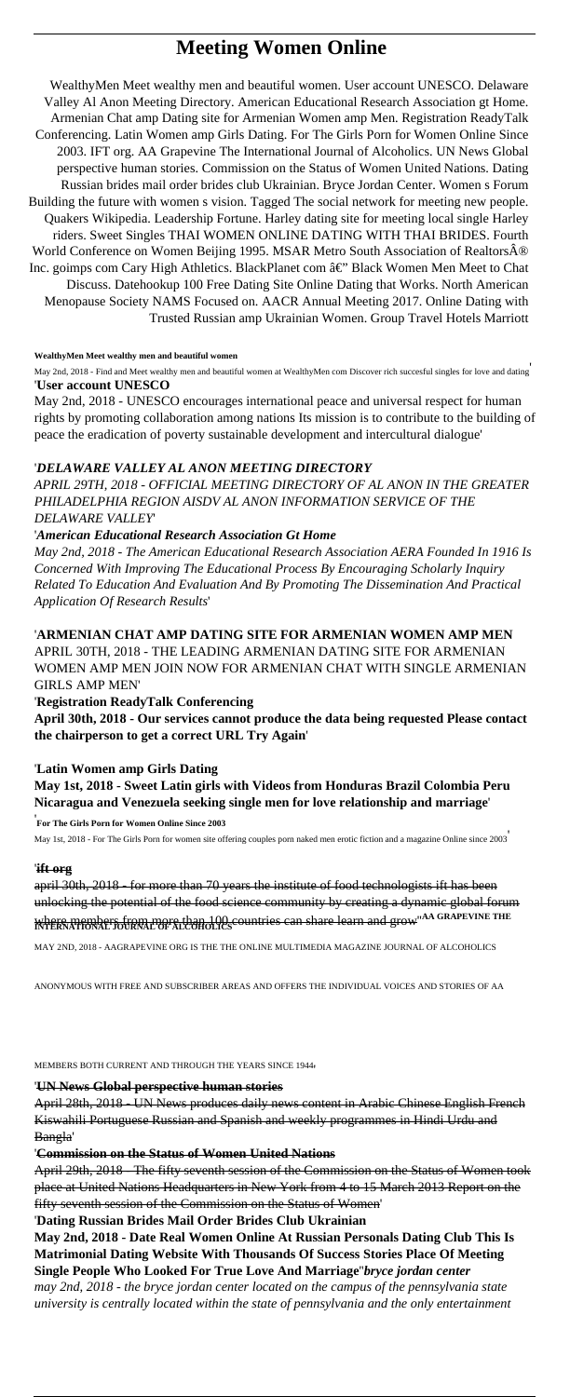# **Meeting Women Online**

WealthyMen Meet wealthy men and beautiful women. User account UNESCO. Delaware Valley Al Anon Meeting Directory. American Educational Research Association gt Home. Armenian Chat amp Dating site for Armenian Women amp Men. Registration ReadyTalk Conferencing. Latin Women amp Girls Dating. For The Girls Porn for Women Online Since 2003. IFT org. AA Grapevine The International Journal of Alcoholics. UN News Global perspective human stories. Commission on the Status of Women United Nations. Dating Russian brides mail order brides club Ukrainian. Bryce Jordan Center. Women s Forum Building the future with women s vision. Tagged The social network for meeting new people. Quakers Wikipedia. Leadership Fortune. Harley dating site for meeting local single Harley riders. Sweet Singles THAI WOMEN ONLINE DATING WITH THAI BRIDES. Fourth World Conference on Women Beijing 1995. MSAR Metro South Association of Realtors® Inc. goimps com Cary High Athletics. BlackPlanet com â€" Black Women Men Meet to Chat Discuss. Datehookup 100 Free Dating Site Online Dating that Works. North American Menopause Society NAMS Focused on. AACR Annual Meeting 2017. Online Dating with Trusted Russian amp Ukrainian Women. Group Travel Hotels Marriott

#### **WealthyMen Meet wealthy men and beautiful women**

May 2nd, 2018 - Find and Meet wealthy men and beautiful women at WealthyMen com Discover rich succesful singles for love and dating' '**User account UNESCO**

May 2nd, 2018 - UNESCO encourages international peace and universal respect for human rights by promoting collaboration among nations Its mission is to contribute to the building of peace the eradication of poverty sustainable development and intercultural dialogue'

### '*DELAWARE VALLEY AL ANON MEETING DIRECTORY*

*APRIL 29TH, 2018 - OFFICIAL MEETING DIRECTORY OF AL ANON IN THE GREATER PHILADELPHIA REGION AISDV AL ANON INFORMATION SERVICE OF THE DELAWARE VALLEY*'

### '*American Educational Research Association Gt Home*

*May 2nd, 2018 - The American Educational Research Association AERA Founded In 1916 Is Concerned With Improving The Educational Process By Encouraging Scholarly Inquiry Related To Education And Evaluation And By Promoting The Dissemination And Practical Application Of Research Results*'

'**ARMENIAN CHAT AMP DATING SITE FOR ARMENIAN WOMEN AMP MEN** APRIL 30TH, 2018 - THE LEADING ARMENIAN DATING SITE FOR ARMENIAN WOMEN AMP MEN JOIN NOW FOR ARMENIAN CHAT WITH SINGLE ARMENIAN GIRLS AMP MEN'

### '**Registration ReadyTalk Conferencing**

**April 30th, 2018 - Our services cannot produce the data being requested Please contact the chairperson to get a correct URL Try Again**'

#### '**Latin Women amp Girls Dating**

**May 1st, 2018 - Sweet Latin girls with Videos from Honduras Brazil Colombia Peru Nicaragua and Venezuela seeking single men for love relationship and marriage**'

'**For The Girls Porn for Women Online Since 2003**

May 1st, 2018 - For The Girls Porn for women site offering couples porn naked men erotic fiction and a magazine Online since 2003'

#### '**ift org**

april 30th, 2018 - for more than 70 years the institute of food technologists ift has been unlocking the potential of the food science community by creating a dynamic global forum where members from more than 100 countries can share learn and grow''**AA GRAPEVINE THE INTERNATIONAL JOURNAL OF ALCOHOLICS**

MAY 2ND, 2018 - AAGRAPEVINE ORG IS THE THE ONLINE MULTIMEDIA MAGAZINE JOURNAL OF ALCOHOLICS

ANONYMOUS WITH FREE AND SUBSCRIBER AREAS AND OFFERS THE INDIVIDUAL VOICES AND STORIES OF AA

April 28th, 2018 - UN News produces daily news content in Arabic Chinese English French Kiswahili Portuguese Russian and Spanish and weekly programmes in Hindi Urdu and Bangla'

#### '**Commission on the Status of Women United Nations**

April 29th, 2018 - The fifty seventh session of the Commission on the Status of Women took place at United Nations Headquarters in New York from 4 to 15 March 2013 Report on the fifty seventh session of the Commission on the Status of Women'

#### '**Dating Russian Brides Mail Order Brides Club Ukrainian**

**May 2nd, 2018 - Date Real Women Online At Russian Personals Dating Club This Is Matrimonial Dating Website With Thousands Of Success Stories Place Of Meeting Single People Who Looked For True Love And Marriage**''*bryce jordan center may 2nd, 2018 - the bryce jordan center located on the campus of the pennsylvania state university is centrally located within the state of pennsylvania and the only entertainment*